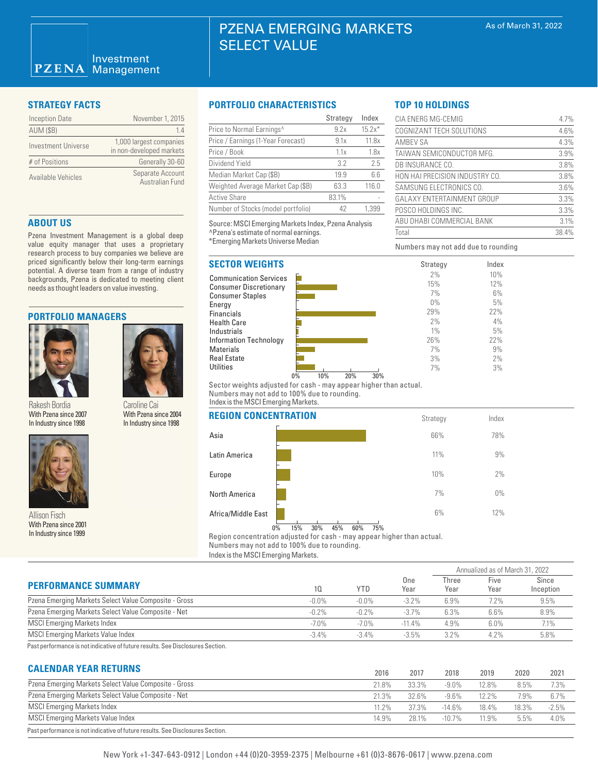| <b>Inception Date</b> | November 1, 2015                                    |
|-----------------------|-----------------------------------------------------|
| <b>AUM (\$B)</b>      | 14                                                  |
| Investment Universe   | 1,000 largest companies<br>in non-developed markets |
| # of Positions        | Generally 30-60                                     |
| Available Vehicles    | Separate Account<br><b>Australian Fund</b>          |

## **ABOUT US**

Pzena Investment Management is a global deep value equity manager that uses a proprietary research process to buy companies we believe are priced significantly below their long-term earnings potential. A diverse team from a range of industry backgrounds, Pzena is dedicated to meeting client needs as thought leaders on value investing.

### **PORTFOLIO MANAGERS**



Rakesh Bordia With Pzena since 2007 In Industry since 1998

Caroline Cai With Pzena since 2004 In Industry since 1998



Allison Fisch With Pzena since 2001 In Industry since 1999

## **STRATEGY FACTS PORTFOLIO CHARACTERISTICS**

|                                    | Strategy | Index    |
|------------------------------------|----------|----------|
| Price to Normal Earnings^          | 9.2x     | $15.2x*$ |
| Price / Earnings (1-Year Forecast) | 9.1x     | 11.8x    |
| Price / Book                       | 1.1x     | 1.8x     |
| Dividend Yield                     | 3.2      | 2.5      |
| Median Market Cap (\$B)            | 19.9     | 6.6      |
| Weighted Average Market Cap (\$B)  | 63.3     | 116.0    |
| <b>Active Share</b>                | 83.1%    |          |
| Number of Stocks (model portfolio) | 42       | 1.399    |

Source: MSCI Emerging Markets Index, Pzena Analysis ^Pzena's estimate of normal earnings. \*Emerging Markets Universe Median

# **SECTOR WEIGHTS**

Communication Services Consumer Discretionary Consumer Staples Energy Financials Health Care Industrials Information Technology **Materials** Real Estate **Utilities** 



Numbers may not add due to rounding

Strategy Index

CIA ENERG MG-CEMIG 4.7% COGNIZANT TECH SOLUTIONS 4.6% AMBEV SA 4.3% TAIWAN SEMICONDUCTOR MFG. 3.9% DB INSURANCE CO. 3.8% HON HAI PRECISION INDUSTRY CO. 3.8% SAMSUNG ELECTRONICS CO. 3.6% GALAXY ENTERTAINMENT GROUP 3.3% POSCO HOLDINGS INC. 3.3% ABU DHABI COMMERCIAL BANK 3.1% Total 38.4%

> Index 10% 12% 6% 5% 22% 4% 5% 22% 9% 2% 3%

**TOP 10 HOLDINGS**

Sector weights adjusted for cash - may appear higher than actual. Numbers may not add to 100% due to rounding. Index is the MSCI Emerging Markets.

## **REGION CONCENTRATION**

|                    |       |     |     |     |     |     | otiatogy | <b>HIULA</b> |  |
|--------------------|-------|-----|-----|-----|-----|-----|----------|--------------|--|
| Asia               |       |     |     |     |     |     | 66%      | 78%          |  |
| Latin America      |       |     |     |     |     |     | 11%      | 9%           |  |
| Europe             |       |     |     |     |     |     | 10%      | 2%           |  |
| North America      |       |     |     |     |     |     | 7%       | $0\%$        |  |
| Africa/Middle East |       |     |     |     |     |     | 6%       | 12%          |  |
|                    | $0\%$ | 15% | 30% | 45% | 60% | 75% |          |              |  |

Region concentration adjusted for cash - may appear higher than actual. Numbers may not add to 100% due to rounding.

Index is the MSCI Emerging Markets.

|                                                       |          | <b>YTD</b> |             | Annualized as of March 31, 2022 |              |                    |  |
|-------------------------------------------------------|----------|------------|-------------|---------------------------------|--------------|--------------------|--|
| <b>PERFORMANCE SUMMARY</b>                            | 10       |            | One<br>Year | Three<br>Year                   | Five<br>Year | Since<br>Inception |  |
| Pzena Emerging Markets Select Value Composite - Gross | $-0.0\%$ | $-0.0\%$   | $-3.2%$     | 6.9%                            | 7.2%         | 9.5%               |  |
| Pzena Emerging Markets Select Value Composite - Net   | $-0.2%$  | $-0.2%$    | $-3.7%$     | 6.3%                            | 6.6%         | 8.9%               |  |
| <b>MSCI Emerging Markets Index</b>                    | $-7.0\%$ | $-7.0\%$   | $-11.4%$    | 4.9%                            | $6.0\%$      | 7.1%               |  |
| MSCI Emerging Markets Value Index                     | $-3.4%$  | $-3.4\%$   | $-3.5%$     | 3.2%                            | 4.2%         | 5.8%               |  |

Past performance is not indicative of future results. See Disclosures Section.

# **CALENDAR YEAR RETURNS**

| VALLIVAIL LEAR ILLIVIIVO                                                       | 2016  | 2017  | 2018      | 2019     | 2020  | 2021    |
|--------------------------------------------------------------------------------|-------|-------|-----------|----------|-------|---------|
| Pzena Emerging Markets Select Value Composite - Gross                          | 21.8% | 33.3% | $-9.0\%$  | 12.8%    | 8.5%  | 7.3%    |
| Pzena Emerging Markets Select Value Composite - Net                            | 21.3% | 32.6% | $-9.6\%$  | $12.2\%$ | 7.9%  | 6.7%    |
| <b>MSCI Emerging Markets Index</b>                                             | 11.2% | 37.3% | $-14.6%$  | 18.4%    | 18.3% | $-2.5%$ |
| <b>MSCI Emerging Markets Value Index</b>                                       | 14.9% | 28.1% | $-10.7\%$ | 11.9%    | 5.5%  | 4.0%    |
| Past performance is not indicative of future results. See Disclosures Section. |       |       |           |          |       |         |